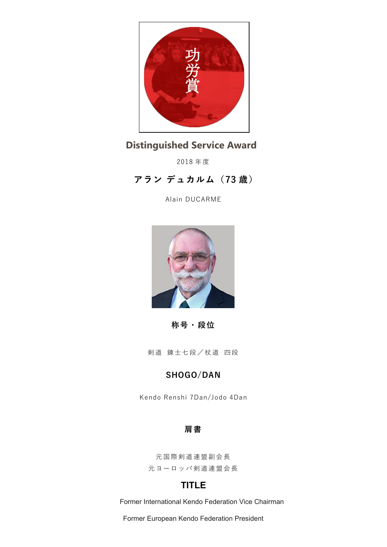

# **功労賞 Distinguished Service Award**

2018 年度

**アラン デュカルム(73 歳)**

Alain DUCARME



**称号・段位**

剣道 錬士七段/杖道 四段

## **SHOGO/DAN**

Kendo Renshi 7Dan/Jodo 4Dan

#### **肩書**

元国際剣道連盟副会長 元ヨーロッパ剣道連盟会長

## **TITLE**

Former International Kendo Federation Vice Chairman

Former European Kendo Federation President